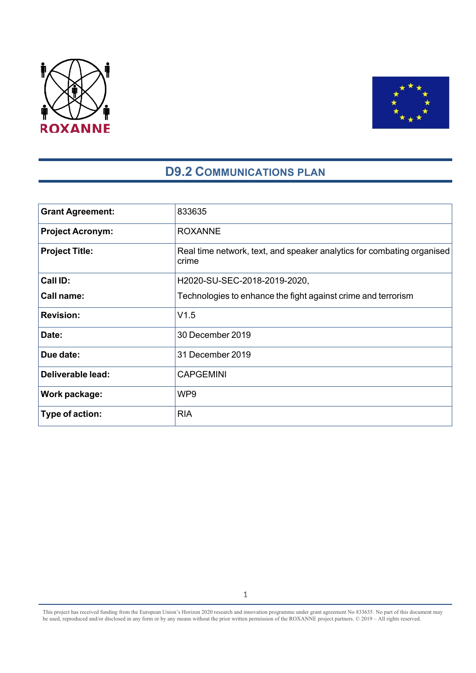



# **D9.2 COMMUNICATIONS PLAN**

| <b>Grant Agreement:</b> | 833635                                                                          |
|-------------------------|---------------------------------------------------------------------------------|
| <b>Project Acronym:</b> | <b>ROXANNE</b>                                                                  |
| <b>Project Title:</b>   | Real time network, text, and speaker analytics for combating organised<br>crime |
| Call ID:                | H2020-SU-SEC-2018-2019-2020,                                                    |
| Call name:              | Technologies to enhance the fight against crime and terrorism                   |
| <b>Revision:</b>        | V1.5                                                                            |
| Date:                   | 30 December 2019                                                                |
| Due date:               | 31 December 2019                                                                |
| Deliverable lead:       | <b>CAPGEMINI</b>                                                                |
| Work package:           | WP9                                                                             |
| Type of action:         | <b>RIA</b>                                                                      |

This project has received funding from the European Union's Horizon 2020 research and innovation programme under grant agreement No 833635*.* No part of this document may be used, reproduced and/or disclosed in any form or by any means without the prior written permission of the ROXANNE project partners. © 2019 – All rights reserved.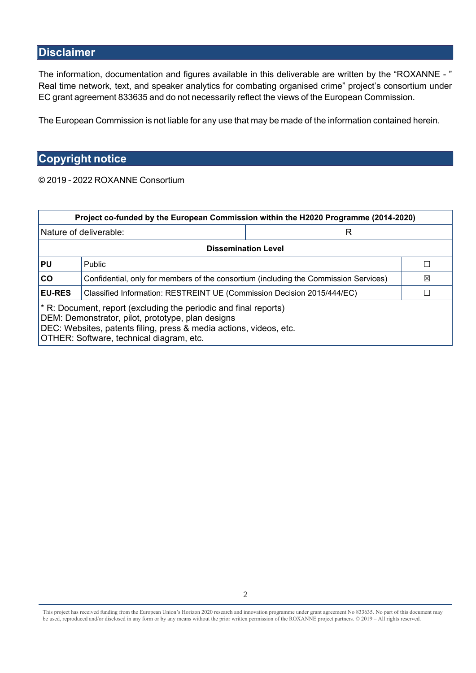# **Disclaimer**

The information, documentation and figures available in this deliverable are written by the "ROXANNE - " Real time network, text, and speaker analytics for combating organised crime" project's consortium under EC grant agreement 833635 and do not necessarily reflect the views of the European Commission.

The European Commission is not liable for any use that may be made of the information contained herein.

# **Copyright notice**

© 2019 - 2022 ROXANNE Consortium

| Project co-funded by the European Commission within the H2020 Programme (2014-2020)                                                                                                                                                     |                                                                                           |  |  |
|-----------------------------------------------------------------------------------------------------------------------------------------------------------------------------------------------------------------------------------------|-------------------------------------------------------------------------------------------|--|--|
|                                                                                                                                                                                                                                         | Nature of deliverable:<br>R                                                               |  |  |
| <b>Dissemination Level</b>                                                                                                                                                                                                              |                                                                                           |  |  |
| <b>PU</b>                                                                                                                                                                                                                               | <b>Public</b>                                                                             |  |  |
| CO                                                                                                                                                                                                                                      | Confidential, only for members of the consortium (including the Commission Services)<br>⊠ |  |  |
| <b>EU-RES</b>                                                                                                                                                                                                                           | Classified Information: RESTREINT UE (Commission Decision 2015/444/EC)                    |  |  |
| * R: Document, report (excluding the periodic and final reports)<br>DEM: Demonstrator, pilot, prototype, plan designs<br>DEC: Websites, patents filing, press & media actions, videos, etc.<br>OTHER: Software, technical diagram, etc. |                                                                                           |  |  |

This project has received funding from the European Union's Horizon 2020 research and innovation programme under grant agreement No 833635*.* No part of this document may be used, reproduced and/or disclosed in any form or by any means without the prior written permission of the ROXANNE project partners. © 2019 - All rights reserved.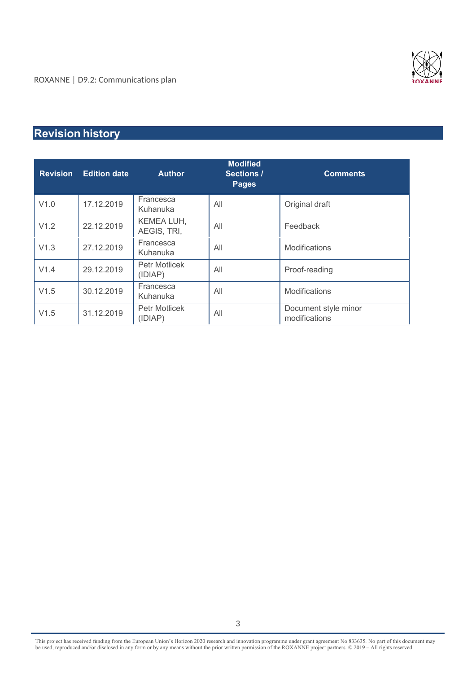

# **Revision history**

| <b>Revision</b> | <b>Edition date</b> | <b>Author</b>                   | <b>Modified</b><br>Sections /<br><b>Pages</b> | <b>Comments</b>                       |
|-----------------|---------------------|---------------------------------|-----------------------------------------------|---------------------------------------|
| V1.0            | 17.12.2019          | Francesca<br>Kuhanuka           | All                                           | Original draft                        |
| V1.2            | 22.12.2019          | KEMEA LUH,<br>AEGIS, TRI,       | All                                           | Feedback                              |
| V1.3            | 27.12.2019          | Francesca<br>Kuhanuka           | All                                           | Modifications                         |
| V1.4            | 29.12.2019          | <b>Petr Motlicek</b><br>(IDIAP) | All                                           | Proof-reading                         |
| V1.5            | 30.12.2019          | Francesca<br>Kuhanuka           | All                                           | <b>Modifications</b>                  |
| V1.5            | 31.12.2019          | <b>Petr Motlicek</b><br>(IDIAP) | All                                           | Document style minor<br>modifications |

This project has received funding from the European Union's Horizon 2020 research and innovation programme under grant agreement No 833635*.* No part of this document may be used, reproduced and/or disclosed in any form or by any means without the prior written permission of the ROXANNE project partners. © 2019 – All rights reserved.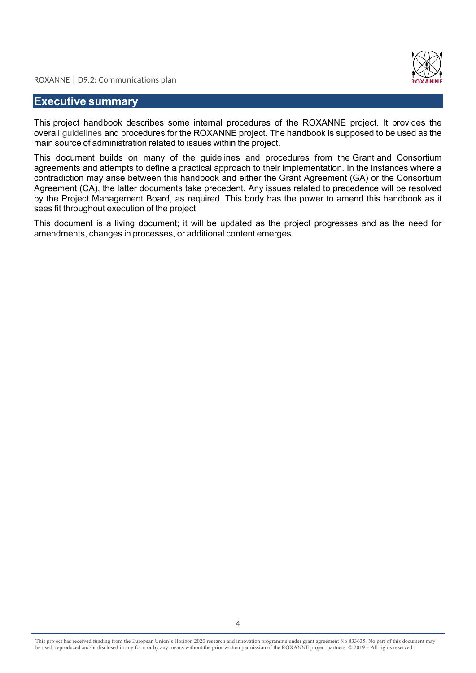

# **Executive summary**

This project handbook describes some internal procedures of the ROXANNE project. It provides the overall guidelines and procedures for the ROXANNE project. The handbook is supposed to be used as the main source of administration related to issues within the project.

This document builds on many of the guidelines and procedures from the Grant and Consortium agreements and attempts to define a practical approach to their implementation. In the instances where a contradiction may arise between this handbook and either the Grant Agreement (GA) or the Consortium Agreement (CA), the latter documents take precedent. Any issues related to precedence will be resolved by the Project Management Board, as required. This body has the power to amend this handbook as it sees fit throughout execution of the project

This document is a living document; it will be updated as the project progresses and as the need for amendments, changes in processes, or additional content emerges.

This project has received funding from the European Union's Horizon 2020 research and innovation programme under grant agreement No 833635*.* No part of this document may be used, reproduced and/or disclosed in any form or by any means without the prior written permission of the ROXANNE project partners. © 2019 – All rights reserved.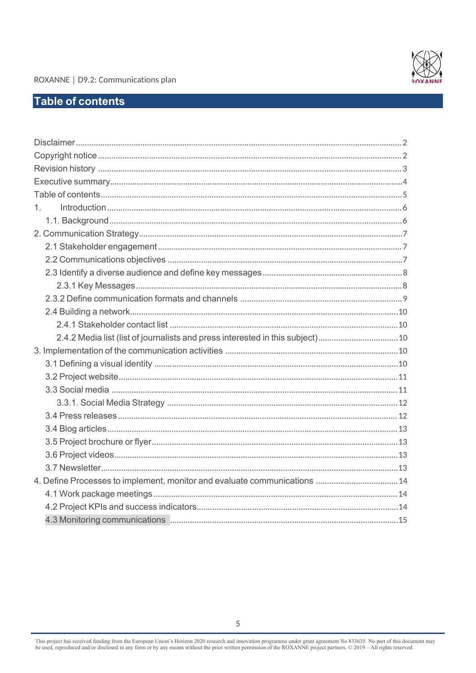

# **Table of contents**

| $1 \quad$                                                                   |
|-----------------------------------------------------------------------------|
|                                                                             |
|                                                                             |
|                                                                             |
|                                                                             |
|                                                                             |
|                                                                             |
|                                                                             |
|                                                                             |
|                                                                             |
| 2.4.2 Media list (list of journalists and press interested in this subject) |
|                                                                             |
|                                                                             |
|                                                                             |
|                                                                             |
|                                                                             |
|                                                                             |
|                                                                             |
|                                                                             |
|                                                                             |
|                                                                             |
| 4. Define Processes to implement, monitor and evaluate communications  14   |
|                                                                             |
|                                                                             |
|                                                                             |

This project has received funding from the European Union's Horizon 2020 research and innovation programme under grant agreement No 833635. No part of this document may be used, reproduced and/or disclosed in any form or b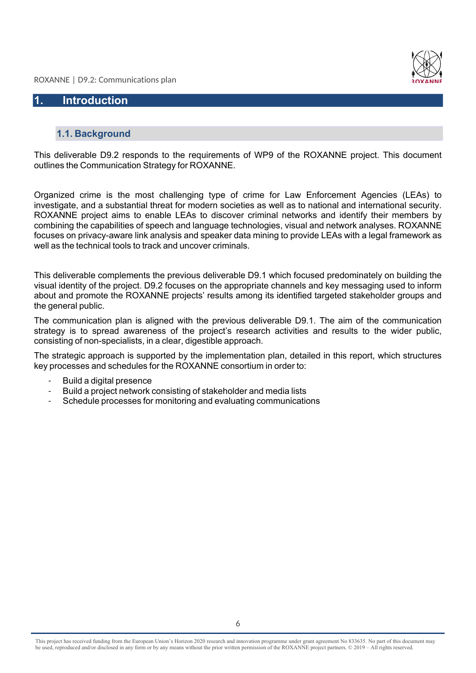

# **1. Introduction**

#### **1.1. Background**

This deliverable D9.2 responds to the requirements of WP9 of the ROXANNE project. This document outlines the Communication Strategy for ROXANNE.

Organized crime is the most challenging type of crime for Law Enforcement Agencies (LEAs) to investigate, and a substantial threat for modern societies as well as to national and international security. ROXANNE project aims to enable LEAs to discover criminal networks and identify their members by combining the capabilities of speech and language technologies, visual and network analyses. ROXANNE focuses on privacy-aware link analysis and speaker data mining to provide LEAs with a legal framework as well as the technical tools to track and uncover criminals.

This deliverable complements the previous deliverable D9.1 which focused predominately on building the visual identity of the project. D9.2 focuses on the appropriate channels and key messaging used to inform about and promote the ROXANNE projects' results among its identified targeted stakeholder groups and the general public.

The communication plan is aligned with the previous deliverable D9.1. The aim of the communication strategy is to spread awareness of the project's research activities and results to the wider public, consisting of non-specialists, in a clear, digestible approach.

The strategic approach is supported by the implementation plan, detailed in this report, which structures key processes and schedules for the ROXANNE consortium in order to:

- Build a digital presence
- Build a project network consisting of stakeholder and media lists
- Schedule processes for monitoring and evaluating communications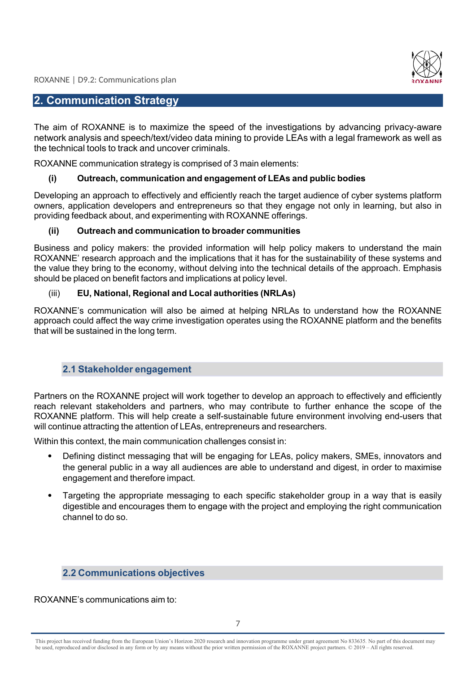

# **2. Communication Strategy**

The aim of ROXANNE is to maximize the speed of the investigations by advancing privacy-aware network analysis and speech/text/video data mining to provide LEAs with a legal framework as well as the technical tools to track and uncover criminals.

ROXANNE communication strategy is comprised of 3 main elements:

### **(i) Outreach, communication and engagement of LEAs and public bodies**

Developing an approach to effectively and efficiently reach the target audience of cyber systems platform owners, application developers and entrepreneurs so that they engage not only in learning, but also in providing feedback about, and experimenting with ROXANNE offerings.

### **(ii) Outreach and communication to broader communities**

Business and policy makers: the provided information will help policy makers to understand the main ROXANNE' research approach and the implications that it has for the sustainability of these systems and the value they bring to the economy, without delving into the technical details of the approach. Emphasis should be placed on benefit factors and implications at policy level.

# (iii) **EU, National, Regional and Local authorities (NRLAs)**

ROXANNE's communication will also be aimed at helping NRLAs to understand how the ROXANNE approach could affect the way crime investigation operates using the ROXANNE platform and the benefits that will be sustained in the long term.

# **2.1 Stakeholder engagement**

Partners on the ROXANNE project will work together to develop an approach to effectively and efficiently reach relevant stakeholders and partners, who may contribute to further enhance the scope of the ROXANNE platform. This will help create a self-sustainable future environment involving end-users that will continue attracting the attention of LEAs, entrepreneurs and researchers.

Within this context, the main communication challenges consist in:

- Defining distinct messaging that will be engaging for LEAs, policy makers, SMEs, innovators and the general public in a way all audiences are able to understand and digest, in order to maximise engagement and therefore impact.
- Targeting the appropriate messaging to each specific stakeholder group in a way that is easily digestible and encourages them to engage with the project and employing the right communication channel to do so.

# **2.2 Communications objectives**

ROXANNE's communications aim to:

This project has received funding from the European Union's Horizon 2020 research and innovation programme under grant agreement No 833635*.* No part of this document may be used, reproduced and/or disclosed in any form or by any means without the prior written permission of the ROXANNE project partners. © 2019 – All rights reserved.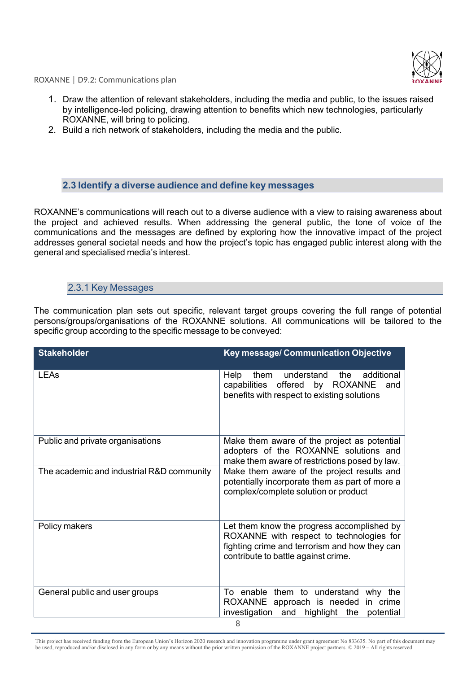

- 1. Draw the attention of relevant stakeholders, including the media and public, to the issues raised by intelligence-led policing, drawing attention to benefits which new technologies, particularly ROXANNE, will bring to policing.
- 2. Build a rich network of stakeholders, including the media and the public.

#### **2.3 Identify a diverse audience and define key messages**

ROXANNE's communications will reach out to a diverse audience with a view to raising awareness about the project and achieved results. When addressing the general public, the tone of voice of the communications and the messages are defined by exploring how the innovative impact of the project addresses general societal needs and how the project's topic has engaged public interest along with the general and specialised media's interest.

# 2.3.1 Key Messages

The communication plan sets out specific, relevant target groups covering the full range of potential persons/groups/organisations of the ROXANNE solutions. All communications will be tailored to the specific group according to the specific message to be conveyed:

| <b>Stakeholder</b>                        | Key message/ Communication Objective                                                                                                                                           |  |  |
|-------------------------------------------|--------------------------------------------------------------------------------------------------------------------------------------------------------------------------------|--|--|
| <b>LEAs</b>                               | additional<br>understand<br>the<br>Help<br>them<br>capabilities<br>offered<br>by ROXANNE<br>and<br>benefits with respect to existing solutions                                 |  |  |
| Public and private organisations          | Make them aware of the project as potential<br>adopters of the ROXANNE solutions and<br>make them aware of restrictions posed by law.                                          |  |  |
| The academic and industrial R&D community | Make them aware of the project results and<br>potentially incorporate them as part of more a<br>complex/complete solution or product                                           |  |  |
| Policy makers                             | Let them know the progress accomplished by<br>ROXANNE with respect to technologies for<br>fighting crime and terrorism and how they can<br>contribute to battle against crime. |  |  |
| General public and user groups            | To enable them to understand why the<br>ROXANNE approach is needed<br>in crime<br>investigation<br>the<br>and<br>highlight<br>potential                                        |  |  |
|                                           | 8                                                                                                                                                                              |  |  |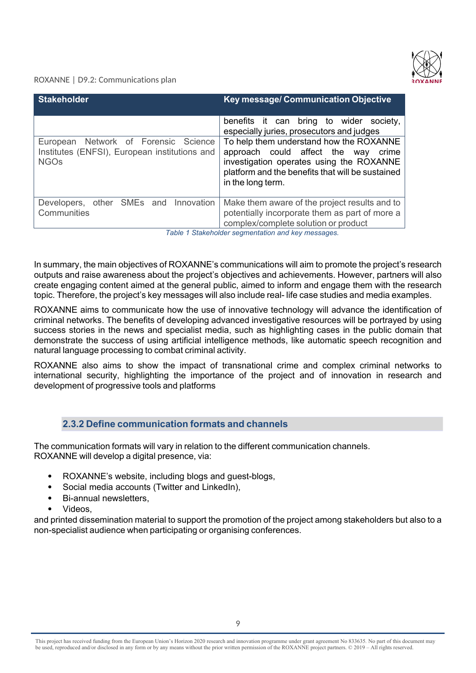

| <b>Stakeholder</b>                                                                                   | <b>Key message/ Communication Objective</b>                                                                                                                                                                                                                                                 |  |
|------------------------------------------------------------------------------------------------------|---------------------------------------------------------------------------------------------------------------------------------------------------------------------------------------------------------------------------------------------------------------------------------------------|--|
| European Network of Forensic Science<br>Institutes (ENFSI), European institutions and<br><b>NGOs</b> | benefits it can bring to wider society,<br>especially juries, prosecutors and judges<br>To help them understand how the ROXANNE<br>approach could affect the way crime<br>investigation operates using the ROXANNE<br>platform and the benefits that will be sustained<br>in the long term. |  |
| Developers, other SMEs and Innovation<br>Communities                                                 | Make them aware of the project results and to<br>potentially incorporate them as part of more a<br>complex/complete solution or product                                                                                                                                                     |  |

*Table 1 Stakeholder segmentation and key messages.*

In summary, the main objectives of ROXANNE's communications will aim to promote the project's research outputs and raise awareness about the project's objectives and achievements. However, partners will also create engaging content aimed at the general public, aimed to inform and engage them with the research topic. Therefore, the project's key messages will also include real- life case studies and media examples.

ROXANNE aims to communicate how the use of innovative technology will advance the identification of criminal networks. The benefits of developing advanced investigative resources will be portrayed by using success stories in the news and specialist media, such as highlighting cases in the public domain that demonstrate the success of using artificial intelligence methods, like automatic speech recognition and natural language processing to combat criminal activity.

ROXANNE also aims to show the impact of transnational crime and complex criminal networks to international security, highlighting the importance of the project and of innovation in research and development of progressive tools and platforms

# **2.3.2 Define communication formats and channels**

The communication formats will vary in relation to the different communication channels. ROXANNE will develop a digital presence, via:

- ROXANNE's website, including blogs and guest-blogs,
- Social media accounts (Twitter and LinkedIn).
- Bi-annual newsletters,
- Videos,

and printed dissemination material to support the promotion of the project among stakeholders but also to a non-specialist audience when participating or organising conferences.

This project has received funding from the European Union's Horizon 2020 research and innovation programme under grant agreement No 833635*.* No part of this document may be used, reproduced and/or disclosed in any form or by any means without the prior written permission of the ROXANNE project partners. © 2019 – All rights reserved.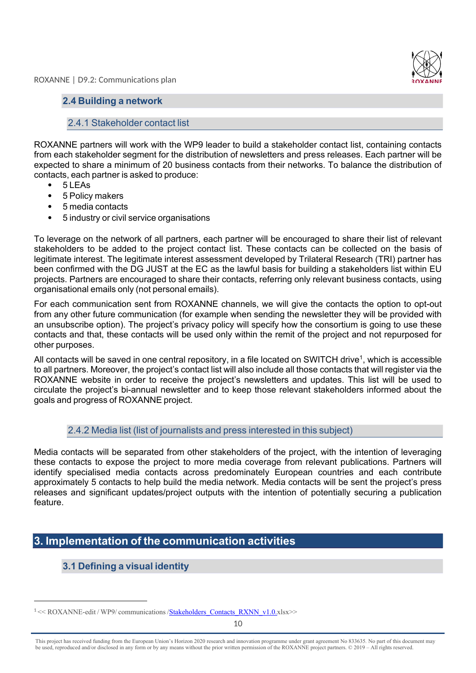

## **2.4 Building a network**

# 2.4.1 Stakeholder contact list

ROXANNE partners will work with the WP9 leader to build a stakeholder contact list, containing contacts from each stakeholder segment for the distribution of newsletters and press releases. Each partner will be expected to share a minimum of 20 business contacts from their networks. To balance the distribution of contacts, each partner is asked to produce:

- 5 LEAs
- 5 Policy makers
- 5 media contacts
- 5 industry or civil service organisations

To leverage on the network of all partners, each partner will be encouraged to share their list of relevant stakeholders to be added to the project contact list. These contacts can be collected on the basis of legitimate interest. The legitimate interest assessment developed by Trilateral Research (TRI) partner has been confirmed with the DG JUST at the EC as the lawful basis for building a stakeholders list within EU projects. Partners are encouraged to share their contacts, referring only relevant business contacts, using organisational emails only (not personal emails).

For each communication sent from ROXANNE channels, we will give the contacts the option to opt-out from any other future communication (for example when sending the newsletter they will be provided with an unsubscribe option). The project's privacy policy will specify how the consortium is going to use these contacts and that, these contacts will be used only within the remit of the project and not repurposed for other purposes.

All contacts will be saved in one central repository, in a file located on SWITCH drive<sup>1</sup>, which is accessible to all partners. Moreover, the project's contact list will also include all those contacts that will register via the ROXANNE website in order to receive the project's newsletters and updates. This list will be used to circulate the project's bi-annual newsletter and to keep those relevant stakeholders informed about the goals and progress of ROXANNE project.

#### 2.4.2 Media list (list of journalists and press interested in this subject)

Media contacts will be separated from other stakeholders of the project, with the intention of leveraging these contacts to expose the project to more media coverage from relevant publications. Partners will identify specialised media contacts across predominately European countries and each contribute approximately 5 contacts to help build the media network. Media contacts will be sent the project's press releases and significant updates/project outputs with the intention of potentially securing a publication feature.

# **3. Implementation of the communication activities**

# **3.1 Defining a visual identity**

<sup>&</sup>lt;sup>1</sup> << ROXANNE-edit / WP9/ communications /**Stakeholders\_Contacts\_RXNN\_v1.0.**xlsx>>

This project has received funding from the European Union's Horizon 2020 research and innovation programme under grant agreement No 833635*.* No part of this document may be used, reproduced and/or disclosed in any form or by any means without the prior written permission of the ROXANNE project partners. © 2019 – All rights reserved.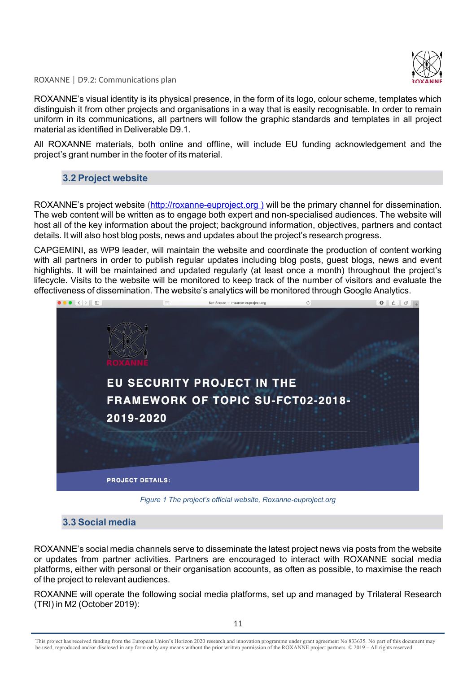

ROXANNE's visual identity is its physical presence, in the form of its logo, colour scheme, templates which distinguish it from other projects and organisations in a way that is easily recognisable. In order to remain uniform in its communications, all partners will follow the graphic standards and templates in all project material as identified in Deliverable D9.1.

All ROXANNE materials, both online and offline, will include EU funding acknowledgement and the project's grant number in the footer of its material.

# **3.2 Project website**

ROXANNE's project website (http://roxanne-euproject.org ) will be the primary channel for dissemination. The web content will be written as to engage both expert and non-specialised audiences. The website will host all of the key information about the project; background information, objectives, partners and contact details. It will also host blog posts, news and updates about the project's research progress.

CAPGEMINI, as WP9 leader, will maintain the website and coordinate the production of content working with all partners in order to publish regular updates including blog posts, quest blogs, news and event highlights. It will be maintained and updated regularly (at least once a month) throughout the project's lifecycle. Visits to the website will be monitored to keep track of the number of visitors and evaluate the effectiveness of dissemination. The website's analytics will be monitored through Google Analytics.



*Figure 1 The project's official website, Roxanne-euproject.org*

### **3.3 Social media**

ROXANNE's social media channels serve to disseminate the latest project news via posts from the website or updates from partner activities. Partners are encouraged to interact with ROXANNE social media platforms, either with personal or their organisation accounts, as often as possible, to maximise the reach of the project to relevant audiences.

ROXANNE will operate the following social media platforms, set up and managed by Trilateral Research (TRI) in M2 (October 2019):

This project has received funding from the European Union's Horizon 2020 research and innovation programme under grant agreement No 833635*.* No part of this document may be used, reproduced and/or disclosed in any form or by any means without the prior written permission of the ROXANNE project partners. © 2019 – All rights reserved.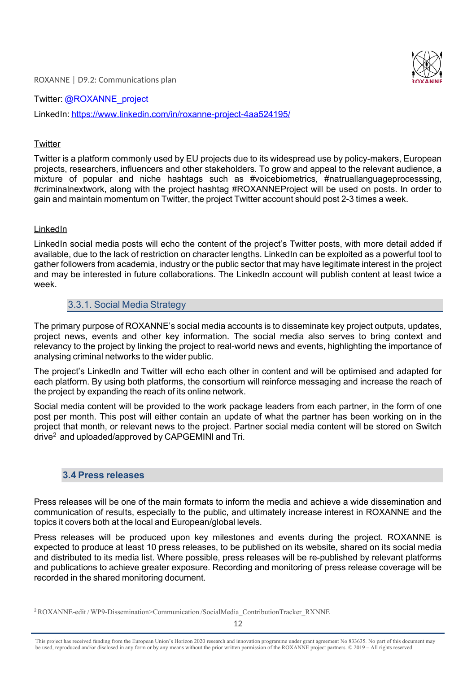Twitter: @ROXANNE\_project LinkedIn: https://www.linkedin.com/in/roxanne-project-4aa524195/

#### **Twitter**

Twitter is a platform commonly used by EU projects due to its widespread use by policy-makers, European projects, researchers, influencers and other stakeholders. To grow and appeal to the relevant audience, a mixture of popular and niche hashtags such as #voicebiometrics, #natruallanguageprocesssing, #criminalnextwork, along with the project hashtag #ROXANNEProject will be used on posts. In order to gain and maintain momentum on Twitter, the project Twitter account should post 2-3 times a week.

#### LinkedIn

LinkedIn social media posts will echo the content of the project's Twitter posts, with more detail added if available, due to the lack of restriction on character lengths. LinkedIn can be exploited as a powerful tool to gather followers from academia, industry or the public sector that may have legitimate interest in the project and may be interested in future collaborations. The LinkedIn account will publish content at least twice a week.

# 3.3.1. Social Media Strategy

The primary purpose of ROXANNE's social media accounts is to disseminate key project outputs, updates, project news, events and other key information. The social media also serves to bring context and relevancy to the project by linking the project to real-world news and events, highlighting the importance of analysing criminal networks to the wider public.

The project's LinkedIn and Twitter will echo each other in content and will be optimised and adapted for each platform. By using both platforms, the consortium will reinforce messaging and increase the reach of the project by expanding the reach of its online network.

Social media content will be provided to the work package leaders from each partner, in the form of one post per month. This post will either contain an update of what the partner has been working on in the project that month, or relevant news to the project. Partner social media content will be stored on Switch drive<sup>2</sup> and uploaded/approved by CAPGEMINI and Tri.

#### **3.4 Press releases**

Press releases will be one of the main formats to inform the media and achieve a wide dissemination and communication of results, especially to the public, and ultimately increase interest in ROXANNE and the topics it covers both at the local and European/global levels.

Press releases will be produced upon key milestones and events during the project. ROXANNE is expected to produce at least 10 press releases, to be published on its website, shared on its social media and distributed to its media list. Where possible, press releases will be re-published by relevant platforms and publications to achieve greater exposure. Recording and monitoring of press release coverage will be recorded in the shared monitoring document.

<sup>&</sup>lt;sup>2</sup> ROXANNE-edit / WP9-Dissemination>Communication /SocialMedia\_ContributionTracker\_RXNNE

This project has received funding from the European Union's Horizon 2020 research and innovation programme under grant agreement No 833635*.* No part of this document may be used, reproduced and/or disclosed in any form or by any means without the prior written permission of the ROXANNE project partners. © 2019 – All rights reserved.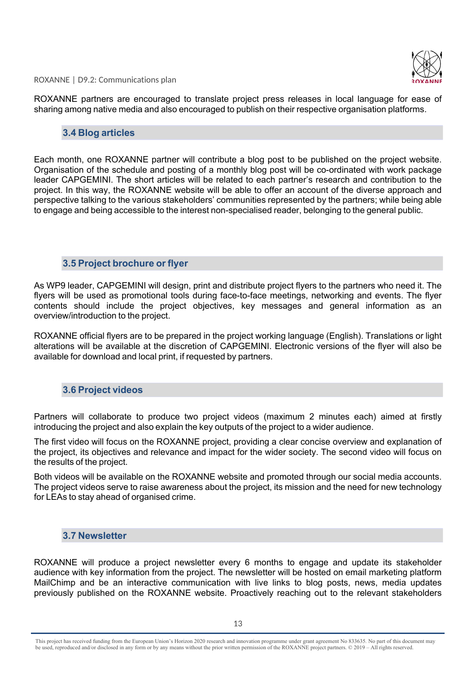ROXANNE partners are encouraged to translate project press releases in local language for ease of sharing among native media and also encouraged to publish on their respective organisation platforms.

#### **3.4 Blog articles**

Each month, one ROXANNE partner will contribute a blog post to be published on the project website. Organisation of the schedule and posting of a monthly blog post will be co-ordinated with work package leader CAPGEMINI. The short articles will be related to each partner's research and contribution to the project. In this way, the ROXANNE website will be able to offer an account of the diverse approach and perspective talking to the various stakeholders' communities represented by the partners; while being able to engage and being accessible to the interest non-specialised reader, belonging to the general public.

#### **3.5 Project brochure or flyer**

As WP9 leader, CAPGEMINI will design, print and distribute project flyers to the partners who need it. The flyers will be used as promotional tools during face-to-face meetings, networking and events. The flyer contents should include the project objectives, key messages and general information as an overview/introduction to the project.

ROXANNE official flyers are to be prepared in the project working language (English). Translations or light alterations will be available at the discretion of CAPGEMINI. Electronic versions of the flyer will also be available for download and local print, if requested by partners.

#### **3.6 Project videos**

Partners will collaborate to produce two project videos (maximum 2 minutes each) aimed at firstly introducing the project and also explain the key outputs of the project to a wider audience.

The first video will focus on the ROXANNE project, providing a clear concise overview and explanation of the project, its objectives and relevance and impact for the wider society. The second video will focus on the results of the project.

Both videos will be available on the ROXANNE website and promoted through our social media accounts. The project videos serve to raise awareness about the project, its mission and the need for new technology for LEAs to stay ahead of organised crime.

#### **3.7 Newsletter**

ROXANNE will produce a project newsletter every 6 months to engage and update its stakeholder audience with key information from the project. The newsletter will be hosted on email marketing platform MailChimp and be an interactive communication with live links to blog posts, news, media updates previously published on the ROXANNE website. Proactively reaching out to the relevant stakeholders

This project has received funding from the European Union's Horizon 2020 research and innovation programme under grant agreement No 833635*.* No part of this document may be used, reproduced and/or disclosed in any form or by any means without the prior written permission of the ROXANNE project partners. © 2019 – All rights reserved.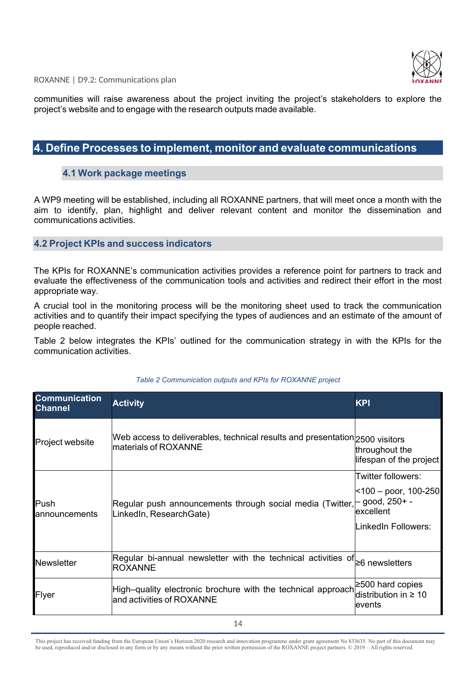

communities will raise awareness about the project inviting the project's stakeholders to explore the project's website and to engage with the research outputs made available.

# **4. Define Processes to implement, monitor and evaluate communications**

#### **4.1 Work package meetings**

A WP9 meeting will be established, including all ROXANNE partners, that will meet once a month with the aim to identify, plan, highlight and deliver relevant content and monitor the dissemination and communications activities.

#### **4.2 Project KPIs and success indicators**

The KPIs for ROXANNE's communication activities provides a reference point for partners to track and evaluate the effectiveness of the communication tools and activities and redirect their effort in the most appropriate way.

A crucial tool in the monitoring process will be the monitoring sheet used to track the communication activities and to quantify their impact specifying the types of audiences and an estimate of the amount of people reached.

Table 2 below integrates the KPIs' outlined for the communication strategy in with the KPIs for the communication activities.

| <b>Communication</b><br><b>Channel</b> | <b>Activity</b>                                                                                            | <b>KPI</b>                                                                        |
|----------------------------------------|------------------------------------------------------------------------------------------------------------|-----------------------------------------------------------------------------------|
| <b>Project website</b>                 | Web access to deliverables, technical results and presentation $ z_{500}$ visitors<br>materials of ROXANNE |                                                                                   |
| Push<br><b>l</b> announcements         | Regular push announcements through social media (Twitter, $\vdash$ good, 250+ -<br>LinkedIn, ResearchGate) | Twitter followers:<br> <100 – poor, 100-250 <br>lexcellent<br>LinkedIn Followers: |
| Newsletter                             | Regular bi-annual newsletter with the technical activities of<br><b>ROXANNE</b>                            | $\geq$ 6 newsletters                                                              |
| Flyer                                  | High–quality electronic brochure with the technical approach<br>and activities of ROXANNE                  | $\geq$ 500 hard copies<br>distribution in $\geq 10$<br>levents                    |

#### *Table 2 Communication outputs and KPIs for ROXANNE project*

This project has received funding from the European Union's Horizon 2020 research and innovation programme under grant agreement No 833635*.* No part of this document may be used, reproduced and/or disclosed in any form or by any means without the prior written permission of the ROXANNE project partners. © 2019 – All rights reserved.